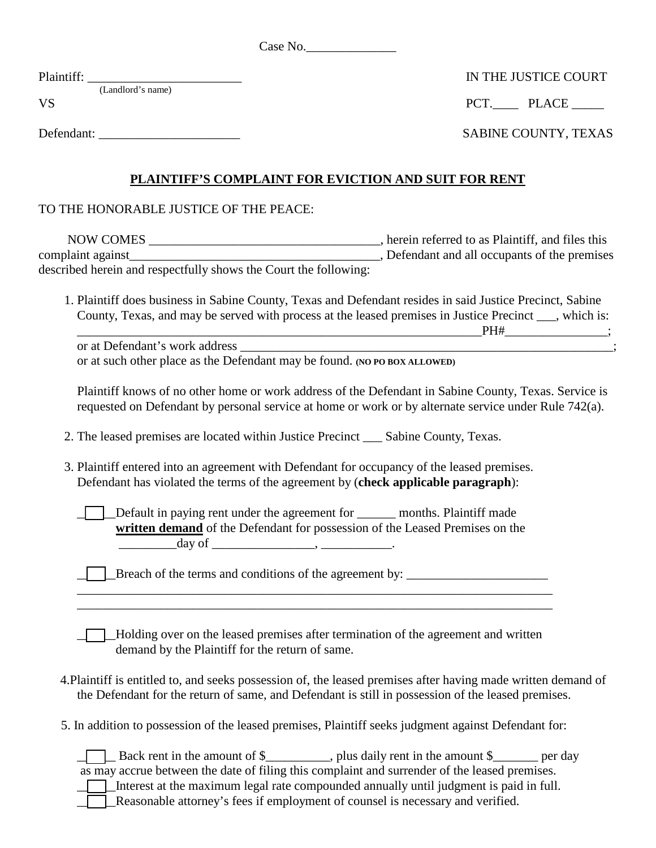| Case No. |
|----------|
|----------|

| Plaintiff:                     | IN THE JUSTICE COURT        |  |
|--------------------------------|-----------------------------|--|
| (Landlord's name)<br><b>VS</b> | PCT. PLACE                  |  |
| Defendant:                     | <b>SABINE COUNTY, TEXAS</b> |  |

## IN THE JUSTICE COURT

| SABINE COUNTY, TEXAS |  |
|----------------------|--|
|----------------------|--|

## **PLAINTIFF'S COMPLAINT FOR EVICTION AND SUIT FOR RENT**

TO THE HONORABLE JUSTICE OF THE PEACE:

| <b>NOW COMES</b>                                                 | , herein referred to as Plaintiff, and files this |
|------------------------------------------------------------------|---------------------------------------------------|
| complaint against_                                               | Defendant and all occupants of the premises       |
| described herein and respectfully shows the Court the following: |                                                   |

 1. Plaintiff does business in Sabine County, Texas and Defendant resides in said Justice Precinct, Sabine County, Texas, and may be served with process at the leased premises in Justice Precinct \_\_\_, which is: \_\_\_\_\_\_\_\_\_\_\_\_\_\_\_\_\_\_\_\_\_\_\_\_\_\_\_\_\_\_\_\_\_\_\_\_\_\_\_\_\_\_\_\_\_\_\_\_\_\_\_\_\_\_\_\_\_\_\_\_\_\_\_PH#\_\_\_\_\_\_\_\_\_\_\_\_\_\_\_\_;

or at Defendant's work address or at such other place as the Defendant may be found. **(NO PO BOX ALLOWED)**

Plaintiff knows of no other home or work address of the Defendant in Sabine County, Texas. Service is requested on Defendant by personal service at home or work or by alternate service under Rule 742(a).

2. The leased premises are located within Justice Precinct \_\_\_ Sabine County, Texas.

 3. Plaintiff entered into an agreement with Defendant for occupancy of the leased premises. Defendant has violated the terms of the agreement by (**check applicable paragraph**):

|                                                                              | months. Plaintiff made |
|------------------------------------------------------------------------------|------------------------|
| written demand of the Defendant for possession of the Leased Premises on the |                        |
| day of                                                                       |                        |

\_\_\_\_\_\_\_\_\_\_\_\_\_\_\_\_\_\_\_\_\_\_\_\_\_\_\_\_\_\_\_\_\_\_\_\_\_\_\_\_\_\_\_\_\_\_\_\_\_\_\_\_\_\_\_\_\_\_\_\_\_\_\_\_\_\_\_\_\_\_\_\_\_\_

\_\_\_\_\_\_Breach of the terms and conditions of the agreement by: \_\_\_\_\_\_\_\_\_\_\_\_\_\_\_\_\_\_\_\_\_\_

\_\_\_\_\_\_Holding over on the leased premises after termination of the agreement and written demand by the Plaintiff for the return of same.

- 4.Plaintiff is entitled to, and seeks possession of, the leased premises after having made written demand of the Defendant for the return of same, and Defendant is still in possession of the leased premises.
- 5. In addition to possession of the leased premises, Plaintiff seeks judgment against Defendant for:

| Back rent in the amount of \$                                                                 |  |
|-----------------------------------------------------------------------------------------------|--|
| as may accrue between the date of filing this complaint and surrender of the leased premises. |  |
| Interest at the maximum legal rate compounded annually until judgment is paid in full.        |  |
| Reasonable attorney's fees if employment of counsel is necessary and verified.                |  |